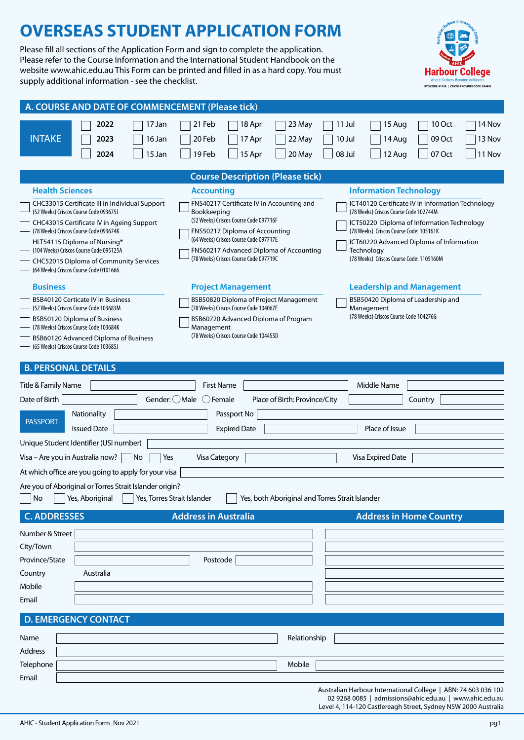Please fill all sections of the Application Form and sign to complete the application. Please refer to the Course Information and the International Student Handbook on the website www.ahic.edu.au This Form can be printed and filled in as a hard copy. You must supply additional information - see the checklist.



| A. COURSE AND DATE OF COMMENCEMENT (Please tick)                                                                                                                                                                                                                                                                                                                                                                                                                                                                                                                                                                                                                                                                                                                                                                                                                                                                    |  |  |  |  |  |  |  |  |
|---------------------------------------------------------------------------------------------------------------------------------------------------------------------------------------------------------------------------------------------------------------------------------------------------------------------------------------------------------------------------------------------------------------------------------------------------------------------------------------------------------------------------------------------------------------------------------------------------------------------------------------------------------------------------------------------------------------------------------------------------------------------------------------------------------------------------------------------------------------------------------------------------------------------|--|--|--|--|--|--|--|--|
| 2022<br>21 Feb<br>18 Apr<br>10 Oct<br>14 Nov<br>17 Jan<br>23 May<br>11 Jul<br>15 Aug<br><b>INTAKE</b><br>16 Jan<br>20 Feb<br>22 May<br>10 Jul<br>09 Oct<br>13 Nov<br>2023<br>17 Apr<br>14 Aug<br>15 Jan<br>19 Feb<br>15 Apr<br>20 May<br>08 Jul<br>07 Oct<br>11 Nov<br>2024<br>12 Aug                                                                                                                                                                                                                                                                                                                                                                                                                                                                                                                                                                                                                               |  |  |  |  |  |  |  |  |
| <b>Course Description (Please tick)</b>                                                                                                                                                                                                                                                                                                                                                                                                                                                                                                                                                                                                                                                                                                                                                                                                                                                                             |  |  |  |  |  |  |  |  |
| <b>Health Sciences</b><br><b>Information Technology</b><br><b>Accounting</b>                                                                                                                                                                                                                                                                                                                                                                                                                                                                                                                                                                                                                                                                                                                                                                                                                                        |  |  |  |  |  |  |  |  |
| FNS40217 Certificate IV in Accounting and<br>ICT40120 Certificate IV in Information Technology<br>CHC33015 Certificate III in Individual Support<br>(52 Weeks) Criscos Course Code 093675J<br>Bookkeeping<br>(78 Weeks) Criscos Course Code 102744M<br>(52 Weeks) Criscos Course Code 097716F<br>CHC43015 Certificate IV in Ageing Support<br>ICT50220 Diploma of Information Technology<br>(78 Weeks) Criscos Course Code 093674K<br>FNS50217 Diploma of Accounting<br>(78 Weeks) Criscos Course Code: 105161K<br>(64 Weeks) Criscos Course Code 097717E<br>HLT54115 Diploma of Nursing*<br>ICT60220 Advanced Diploma of Information<br>(104 Weeks) Criscos Course Code 095125A<br>FNS60217 Advanced Diploma of Accounting<br>Technology<br>(78 Weeks) Criscos Course Code 097719C<br>(78 Weeks) Criscos Course Code: 1105160M<br>CHC52015 Diploma of Community Services<br>(64 Weeks) Criscos Course Code 0101666 |  |  |  |  |  |  |  |  |
| <b>Business</b><br><b>Leadership and Management</b><br><b>Project Management</b>                                                                                                                                                                                                                                                                                                                                                                                                                                                                                                                                                                                                                                                                                                                                                                                                                                    |  |  |  |  |  |  |  |  |
| <b>BSB40120 Certicate IV in Business</b><br>BSB50820 Diploma of Project Management<br>BSB50420 Diploma of Leadership and                                                                                                                                                                                                                                                                                                                                                                                                                                                                                                                                                                                                                                                                                                                                                                                            |  |  |  |  |  |  |  |  |
| (78 Weeks) Criscos Course Code 104067E<br>(52 Weeks) Criscos Course Code 103683M<br>Management<br>(78 Weeks) Criscos Course Code 104276G<br>BSB60720 Advanced Diploma of Program<br>BSB50120 Diploma of Business<br>(78 Weeks) Criscos Course Code 103684K<br>Management<br>(78 Weeks) Criscos Course Code 104455D<br>BSB60120 Advanced Diploma of Business<br>(65 Weeks) Criscos Course Code 103685J                                                                                                                                                                                                                                                                                                                                                                                                                                                                                                               |  |  |  |  |  |  |  |  |
| <b>PERSONAL DETAILS</b>                                                                                                                                                                                                                                                                                                                                                                                                                                                                                                                                                                                                                                                                                                                                                                                                                                                                                             |  |  |  |  |  |  |  |  |
| Title & Family Name<br><b>First Name</b><br>Middle Name                                                                                                                                                                                                                                                                                                                                                                                                                                                                                                                                                                                                                                                                                                                                                                                                                                                             |  |  |  |  |  |  |  |  |
| Gender: ◯ Male ◯ Female<br>Date of Birth<br>Place of Birth: Province/City<br>Country                                                                                                                                                                                                                                                                                                                                                                                                                                                                                                                                                                                                                                                                                                                                                                                                                                |  |  |  |  |  |  |  |  |
| Nationality<br>Passport No<br><b>PASSPORT</b><br><b>Issued Date</b><br><b>Expired Date</b><br>Place of Issue                                                                                                                                                                                                                                                                                                                                                                                                                                                                                                                                                                                                                                                                                                                                                                                                        |  |  |  |  |  |  |  |  |
| Unique Student Identifier (USI number)                                                                                                                                                                                                                                                                                                                                                                                                                                                                                                                                                                                                                                                                                                                                                                                                                                                                              |  |  |  |  |  |  |  |  |
| Visa - Are you in Australia now?<br>Yes<br><b>Visa Category</b><br>Visa Expired Date<br> No                                                                                                                                                                                                                                                                                                                                                                                                                                                                                                                                                                                                                                                                                                                                                                                                                         |  |  |  |  |  |  |  |  |
| At which office are you going to apply for your visa                                                                                                                                                                                                                                                                                                                                                                                                                                                                                                                                                                                                                                                                                                                                                                                                                                                                |  |  |  |  |  |  |  |  |
| Are you of Aboriginal or Torres Strait Islander origin?<br>Yes, Aboriginal<br>Yes, Torres Strait Islander<br>Yes, both Aboriginal and Torres Strait Islander<br>No                                                                                                                                                                                                                                                                                                                                                                                                                                                                                                                                                                                                                                                                                                                                                  |  |  |  |  |  |  |  |  |
| <b>Address in Australia</b><br><b>C. ADDRESSES</b><br><b>Address in Home Country</b>                                                                                                                                                                                                                                                                                                                                                                                                                                                                                                                                                                                                                                                                                                                                                                                                                                |  |  |  |  |  |  |  |  |
| Number & Street                                                                                                                                                                                                                                                                                                                                                                                                                                                                                                                                                                                                                                                                                                                                                                                                                                                                                                     |  |  |  |  |  |  |  |  |
| City/Town                                                                                                                                                                                                                                                                                                                                                                                                                                                                                                                                                                                                                                                                                                                                                                                                                                                                                                           |  |  |  |  |  |  |  |  |
| Province/State<br>Postcode                                                                                                                                                                                                                                                                                                                                                                                                                                                                                                                                                                                                                                                                                                                                                                                                                                                                                          |  |  |  |  |  |  |  |  |
| Australia<br>Country                                                                                                                                                                                                                                                                                                                                                                                                                                                                                                                                                                                                                                                                                                                                                                                                                                                                                                |  |  |  |  |  |  |  |  |
| Mobile                                                                                                                                                                                                                                                                                                                                                                                                                                                                                                                                                                                                                                                                                                                                                                                                                                                                                                              |  |  |  |  |  |  |  |  |
| Email                                                                                                                                                                                                                                                                                                                                                                                                                                                                                                                                                                                                                                                                                                                                                                                                                                                                                                               |  |  |  |  |  |  |  |  |
| <b>D. EMERGENCY CONTACT</b>                                                                                                                                                                                                                                                                                                                                                                                                                                                                                                                                                                                                                                                                                                                                                                                                                                                                                         |  |  |  |  |  |  |  |  |
| Name<br>Relationship                                                                                                                                                                                                                                                                                                                                                                                                                                                                                                                                                                                                                                                                                                                                                                                                                                                                                                |  |  |  |  |  |  |  |  |
| Address                                                                                                                                                                                                                                                                                                                                                                                                                                                                                                                                                                                                                                                                                                                                                                                                                                                                                                             |  |  |  |  |  |  |  |  |
| Telephone<br>Mobile                                                                                                                                                                                                                                                                                                                                                                                                                                                                                                                                                                                                                                                                                                                                                                                                                                                                                                 |  |  |  |  |  |  |  |  |
| Email                                                                                                                                                                                                                                                                                                                                                                                                                                                                                                                                                                                                                                                                                                                                                                                                                                                                                                               |  |  |  |  |  |  |  |  |
| Australian Harbour International College   ABN: 74 603 036 102<br>02 9268 0085   admissions@ahic.edu.au   www.ahic.edu.au<br>Level 4, 114-120 Castlereagh Street, Sydney NSW 2000 Australia                                                                                                                                                                                                                                                                                                                                                                                                                                                                                                                                                                                                                                                                                                                         |  |  |  |  |  |  |  |  |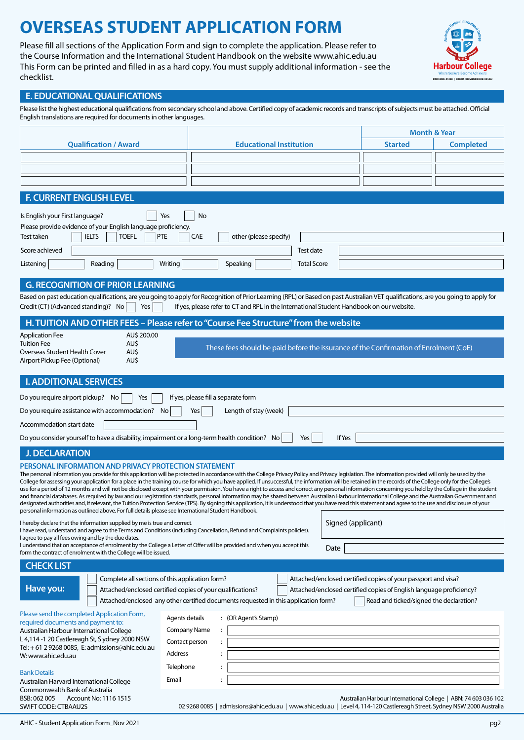Please fill all sections of the Application Form and sign to complete the application. Please refer to the Course Information and the International Student Handbook on the website www.ahic.edu.au This Form can be printed and filled in as a hard copy. You must supply additional information - see the checklist.



### **E. EDUCATIONAL QUALIFICATIONS**

Please list the highest educational qualifications from secondary school and above. Certified copy of academic records and transcripts of subjects must be attached. Official English translations are required for documents in other languages.

|                                                                                                                                                                                                                                                                                                                                                                                                                 |                     |                                                                                                                                                                                                                                                                                                                                                                                                                        | <b>Month &amp; Year</b> |                                                                |  |  |  |  |
|-----------------------------------------------------------------------------------------------------------------------------------------------------------------------------------------------------------------------------------------------------------------------------------------------------------------------------------------------------------------------------------------------------------------|---------------------|------------------------------------------------------------------------------------------------------------------------------------------------------------------------------------------------------------------------------------------------------------------------------------------------------------------------------------------------------------------------------------------------------------------------|-------------------------|----------------------------------------------------------------|--|--|--|--|
| <b>Qualification / Award</b>                                                                                                                                                                                                                                                                                                                                                                                    |                     | <b>Educational Institution</b>                                                                                                                                                                                                                                                                                                                                                                                         | <b>Started</b>          | <b>Completed</b>                                               |  |  |  |  |
|                                                                                                                                                                                                                                                                                                                                                                                                                 |                     |                                                                                                                                                                                                                                                                                                                                                                                                                        |                         |                                                                |  |  |  |  |
|                                                                                                                                                                                                                                                                                                                                                                                                                 |                     |                                                                                                                                                                                                                                                                                                                                                                                                                        |                         |                                                                |  |  |  |  |
|                                                                                                                                                                                                                                                                                                                                                                                                                 |                     |                                                                                                                                                                                                                                                                                                                                                                                                                        |                         |                                                                |  |  |  |  |
| <b>F. CURRENT ENGLISH LEVEL</b>                                                                                                                                                                                                                                                                                                                                                                                 |                     |                                                                                                                                                                                                                                                                                                                                                                                                                        |                         |                                                                |  |  |  |  |
| Is English your First language?                                                                                                                                                                                                                                                                                                                                                                                 | Yes                 | No                                                                                                                                                                                                                                                                                                                                                                                                                     |                         |                                                                |  |  |  |  |
| Please provide evidence of your English language proficiency.<br><b>IELTS</b><br><b>TOEFL</b><br>Test taken                                                                                                                                                                                                                                                                                                     | <b>PTE</b>          | <b>CAE</b><br>other (please specify)                                                                                                                                                                                                                                                                                                                                                                                   |                         |                                                                |  |  |  |  |
| Score achieved                                                                                                                                                                                                                                                                                                                                                                                                  |                     | Test date                                                                                                                                                                                                                                                                                                                                                                                                              |                         |                                                                |  |  |  |  |
| Reading<br>Writing<br>Speaking<br><b>Total Score</b><br>Listening                                                                                                                                                                                                                                                                                                                                               |                     |                                                                                                                                                                                                                                                                                                                                                                                                                        |                         |                                                                |  |  |  |  |
|                                                                                                                                                                                                                                                                                                                                                                                                                 |                     |                                                                                                                                                                                                                                                                                                                                                                                                                        |                         |                                                                |  |  |  |  |
| <b>G. RECOGNITION OF PRIOR LEARNING</b>                                                                                                                                                                                                                                                                                                                                                                         |                     |                                                                                                                                                                                                                                                                                                                                                                                                                        |                         |                                                                |  |  |  |  |
| Credit (CT) (Advanced standing)? No<br>Yes                                                                                                                                                                                                                                                                                                                                                                      |                     | Based on past education qualifications, are you going to apply for Recognition of Prior Learning (RPL) or Based on past Australian VET qualifications, are you going to apply for<br>If yes, please refer to CT and RPL in the International Student Handbook on our website.                                                                                                                                          |                         |                                                                |  |  |  |  |
|                                                                                                                                                                                                                                                                                                                                                                                                                 |                     | H. TUITION AND OTHER FEES - Please refer to "Course Fee Structure" from the website                                                                                                                                                                                                                                                                                                                                    |                         |                                                                |  |  |  |  |
| AU\$ 200.00<br><b>Application Fee</b>                                                                                                                                                                                                                                                                                                                                                                           |                     |                                                                                                                                                                                                                                                                                                                                                                                                                        |                         |                                                                |  |  |  |  |
| <b>Tuition Fee</b><br>AU\$<br>AU\$<br>Overseas Student Health Cover                                                                                                                                                                                                                                                                                                                                             |                     | These fees should be paid before the issurance of the Confirmation of Enrolment (CoE)                                                                                                                                                                                                                                                                                                                                  |                         |                                                                |  |  |  |  |
| Airport Pickup Fee (Optional)<br>AU\$                                                                                                                                                                                                                                                                                                                                                                           |                     |                                                                                                                                                                                                                                                                                                                                                                                                                        |                         |                                                                |  |  |  |  |
| <b>I. ADDITIONAL SERVICES</b>                                                                                                                                                                                                                                                                                                                                                                                   |                     |                                                                                                                                                                                                                                                                                                                                                                                                                        |                         |                                                                |  |  |  |  |
| Do you require airport pickup? No<br>Yes                                                                                                                                                                                                                                                                                                                                                                        |                     | If yes, please fill a separate form                                                                                                                                                                                                                                                                                                                                                                                    |                         |                                                                |  |  |  |  |
| Do you require assistance with accommodation? No                                                                                                                                                                                                                                                                                                                                                                |                     | Length of stay (week)<br>Yes                                                                                                                                                                                                                                                                                                                                                                                           |                         |                                                                |  |  |  |  |
| Accommodation start date                                                                                                                                                                                                                                                                                                                                                                                        |                     |                                                                                                                                                                                                                                                                                                                                                                                                                        |                         |                                                                |  |  |  |  |
| Do you consider yourself to have a disability, impairment or a long-term health condition? No<br>If Yes<br>Yes                                                                                                                                                                                                                                                                                                  |                     |                                                                                                                                                                                                                                                                                                                                                                                                                        |                         |                                                                |  |  |  |  |
| <b>J. DECLARATION</b>                                                                                                                                                                                                                                                                                                                                                                                           |                     |                                                                                                                                                                                                                                                                                                                                                                                                                        |                         |                                                                |  |  |  |  |
| <b>PERSONAL INFORMATION AND PRIVACY PROTECTION STATEMENT</b>                                                                                                                                                                                                                                                                                                                                                    |                     |                                                                                                                                                                                                                                                                                                                                                                                                                        |                         |                                                                |  |  |  |  |
|                                                                                                                                                                                                                                                                                                                                                                                                                 |                     | The personal information you provide for this application will be protected in accordance with the College Privacy Policy and Privacy legislation. The information provided will only be used by the                                                                                                                                                                                                                   |                         |                                                                |  |  |  |  |
|                                                                                                                                                                                                                                                                                                                                                                                                                 |                     | College for assessing your application for a place in the training course for which you have applied. If unsuccessful, the information will be retained in the records of the College only for the College's<br>use for a period of 12 months and will not be disclosed except with your permission. You have a right to access and correct any personal information concerning you held by the College in the student |                         |                                                                |  |  |  |  |
| and financial databases. As required by law and our registration standards, personal information may be shared between Australian Harbour International College and the Australian Government and<br>designated authorities and, if relevant, the Tuition Protection Service (TPS). By signing this application, it is understood that you have read this statement and agree to the use and disclosure of your |                     |                                                                                                                                                                                                                                                                                                                                                                                                                        |                         |                                                                |  |  |  |  |
| personal information as outlined above. For full details please see International Student Handbook.                                                                                                                                                                                                                                                                                                             |                     |                                                                                                                                                                                                                                                                                                                                                                                                                        |                         |                                                                |  |  |  |  |
| I hereby declare that the information supplied by me is true and correct.<br>Signed (applicant)<br>I have read, understand and agree to the Terms and Conditions (including Cancellation, Refund and Complaints policies).                                                                                                                                                                                      |                     |                                                                                                                                                                                                                                                                                                                                                                                                                        |                         |                                                                |  |  |  |  |
| I agree to pay all fees owing and by the due dates.<br>I understand that on acceptance of enrolment by the College a Letter of Offer will be provided and when you accept this                                                                                                                                                                                                                                  |                     |                                                                                                                                                                                                                                                                                                                                                                                                                        |                         |                                                                |  |  |  |  |
| form the contract of enrolment with the College will be issued.                                                                                                                                                                                                                                                                                                                                                 |                     | Date                                                                                                                                                                                                                                                                                                                                                                                                                   |                         |                                                                |  |  |  |  |
| <b>CHECK LIST</b>                                                                                                                                                                                                                                                                                                                                                                                               |                     |                                                                                                                                                                                                                                                                                                                                                                                                                        |                         |                                                                |  |  |  |  |
| Complete all sections of this application form?                                                                                                                                                                                                                                                                                                                                                                 |                     | Attached/enclosed certified copies of your passport and visa?                                                                                                                                                                                                                                                                                                                                                          |                         |                                                                |  |  |  |  |
| Have you:                                                                                                                                                                                                                                                                                                                                                                                                       |                     | Attached/enclosed certified copies of your qualifications?<br>Attached/enclosed certified copies of English language proficiency?                                                                                                                                                                                                                                                                                      |                         |                                                                |  |  |  |  |
| Attached/enclosed any other certified documents requested in this application form?<br>Read and ticked/signed the declaration?                                                                                                                                                                                                                                                                                  |                     |                                                                                                                                                                                                                                                                                                                                                                                                                        |                         |                                                                |  |  |  |  |
| Please send the completed Application Form,<br>required documents and payment to:                                                                                                                                                                                                                                                                                                                               | Agents details      | : (OR Agent's Stamp)                                                                                                                                                                                                                                                                                                                                                                                                   |                         |                                                                |  |  |  |  |
| Australian Harbour International College                                                                                                                                                                                                                                                                                                                                                                        | <b>Company Name</b> | $\ddot{\phantom{a}}$                                                                                                                                                                                                                                                                                                                                                                                                   |                         |                                                                |  |  |  |  |
| L 4,114 -1 20 Castlereagh St, S ydney 2000 NSW<br>Tel: + 61 2 9268 0085, E: admissions@ahic.edu.au                                                                                                                                                                                                                                                                                                              | Contact person      | $\ddot{\phantom{a}}$                                                                                                                                                                                                                                                                                                                                                                                                   |                         |                                                                |  |  |  |  |
| W: www.ahic.edu.au                                                                                                                                                                                                                                                                                                                                                                                              | Address             | $\ddot{\phantom{a}}$                                                                                                                                                                                                                                                                                                                                                                                                   |                         |                                                                |  |  |  |  |
| <b>Bank Details</b>                                                                                                                                                                                                                                                                                                                                                                                             | Telephone           |                                                                                                                                                                                                                                                                                                                                                                                                                        |                         |                                                                |  |  |  |  |
| Australian Harvard International College<br>Commonwealth Bank of Australia                                                                                                                                                                                                                                                                                                                                      | Email               |                                                                                                                                                                                                                                                                                                                                                                                                                        |                         |                                                                |  |  |  |  |
| BSB: 062 005<br>Account No: 1116 1515<br>SWIFT CODE: CTBAAU2S                                                                                                                                                                                                                                                                                                                                                   |                     | 02 9268 0085   admissions@ahic.edu.au   www.ahic.edu.au   Level 4, 114-120 Castlereagh Street, Sydney NSW 2000 Australia                                                                                                                                                                                                                                                                                               |                         | Australian Harbour International College   ABN: 74 603 036 102 |  |  |  |  |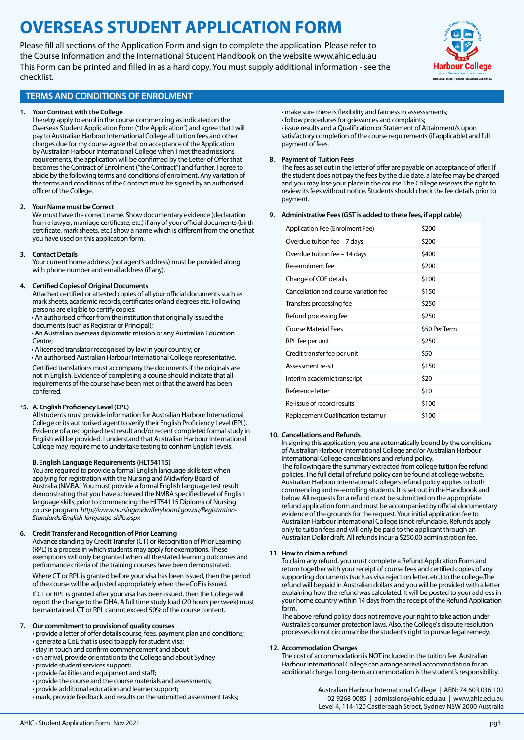Please fill all sections of the Application Form and sign to complete the application. Please refer to the Course Information and the International Student Handbook on the website www.ahic.edu.au This Form can be printed and filled in as a hard copy. You must supply additional information - see the checklist.



### **TERMS AND CONDITIONS OF ENROLMENT**

#### **1. Your Contract with the College**

I hereby apply to enrol in the course commencing as indicated on the Overseas Student Application Form ("the Application") and agree that I will pay to Australian Harbour International College all tuition fees and other charges due for my course agree that on acceptance of the Application by Australian Harbour International College when I met the admissions requirements, the application will be confirmed by the Letter of Offer that becomes the Contract of Enrolment ("the Contract") and further, I agree to abide by the following terms and conditions of enrolment. Any variation of the terms and conditions of the Contract must be signed by an authorised officer of the College.

#### **2. Your Name must be Correct**

We must have the correct name. Show documentary evidence (declaration from a lawyer, marriage certificate, etc.) if any of your official documents (birth certificate, mark sheets, etc.) show a name which is different from the one that you have used on this application form.

#### **3. Contact Details**

Your current home address (not agent's address) must be provided along with phone number and email address (if any).

#### **4. Certified Copies of Original Documents**

Attached certified or attested copies of all your official documents such as mark sheets, academic records, certificates or/and degrees etc. Following persons are eligible to certify copies:

• An authorised officer from the institution that originally issued the documents (such as Registrar or Principal);

• An Australian overseas diplomatic mission or any Australian Education Centre;

• A licensed translator recognised by law in your country; or

• An authorised Australian Harbour International College representative. Certified translations must accompany the documents if the originals are

not in English. Evidence of completing a course should indicate that all requirements of the course have been met or that the award has been conferred.

#### **\*5. A. English Proficiency Level (EPL)**

All students must provide information for Australian Harbour International College or its authorised agent to verify their English Proficiency Level (EPL). Evidence of a recognised test result and/or recent completed formal study in English will be provided. I understand that Australian Harbour International College may require me to undertake testing to confirm English levels.

#### **B. English Language Requirements (HLT54115)**

You are required to provide a formal English language skills test when applying for registration with the Nursing and Midwifery Board of Australia (NMBA.) You must provide a formal English language test result demonstrating that you have achieved the NMBA specified level of English language skills, prior to commencing the HLT54115 Diploma of Nursing course program. *http://www.nursingmidwiferyboard.gov.au/Registration-Standards/English-language-skills.aspx*

#### **6. Credit Transfer and Recognition of Prior Learning**

Advance standing by Credit Transfer (CT) or Recognition of Prior Learning (RPL) is a process in which students may apply for exemptions. These exemptions will only be granted when all the stated learning outcomes and performance criteria of the training courses have been demonstrated. Where CT or RPL is granted before your visa has been issued, then the period

of the course will be adjusted appropriately when the eCoE is issued.

If CT or RPL is granted after your visa has been issued, then the College will report the change to the DHA. A full time study load (20 hours per week) must be maintained. CT or RPL cannot exceed 50% of the course content.

#### **7. Our commitment to provision of quality courses**

• provide a letter of offer details course, fees, payment plan and conditions; • generate a CoE that is used to apply for student visa;

- stay in touch and confirm commencement and about
- on arrival, provide orientation to the College and about Sydney
- provide student services support;
- provide facilities and equipment and staff;
- provide the course and the course materials and assessments;
- provide additional education and learner support;
- mark, provide feedback and results on the submitted assessment tasks;

• make sure there is flexibility and fairness in assesssments; • follow procedures for grievances and complaints; • issue results and a Qualification or Statement of Attainment/s upon satisfactory completion of the course requirements (if applicable) and full

#### **8. Payment of Tuition Fees**

payment of fees.

The fees as set out in the letter of offer are payable on acceptance of offer. If the student does not pay the fees by the due date, a late fee may be charged and you may lose your place in the course. The College reserves the right to review its fees without notice. Students should check the fee details prior to payment.

#### **9. Administrative Fees (GST is added to these fees, if applicable)**

| Application Fee (Enrolment Fee)       | \$200         |
|---------------------------------------|---------------|
| Overdue tuition fee - 7 days          | \$200         |
| Overdue tuition fee - 14 days         | \$400         |
| Re-enrolment fee                      | \$200         |
| Change of COE details                 | \$100         |
| Cancellation and course variation fee | \$150         |
| Transfers processing fee              | \$250         |
| Refund processing fee                 | \$250         |
|                                       |               |
| Course Material Fees                  | \$50 Per Term |
| RPL fee per unit                      | \$250         |
| Credit transfer fee per unit          | \$50          |
| Assessment re-sit                     | \$150         |
| Interim academic transcript           | \$20          |
| Reference letter                      | \$10          |
| Re-issue of record results            | \$100         |

#### **10. Cancellations and Refunds**

In signing this application, you are automatically bound by the conditions of Australian Harbour International College and/or Australian Harbour International College cancellations and refund policy. The following are the summary extracted from college tuition fee refund policies. The full detail of refund policy can be found at college website. Australian Harbour International College's refund policy applies to both commencing and re-enrolling students. It is set out in the Handbook and below. All requests for a refund must be submitted on the appropriate refund application form and must be accompanied by official documentary evidence of the grounds for the request. Your initial application fee to Australian Harbour International College is not refundable. Refunds apply only to tuition fees and will only be paid to the applicant through an Australian Dollar draft. All refunds incur a \$250.00 administration fee.

#### **11. How to claim a refund**

To claim any refund, you must complete a Refund Application Form and return together with your receipt of course fees and certified copies of any supporting documents (such as visa rejection letter, etc.) to the college.The refund will be paid in Australian dollars and you will be provided with a letter explaining how the refund was calculated. It will be posted to your address in your home country within 14 days from the receipt of the Refund Application form.

The above refund policy does not remove your right to take action under Australia's consumer protection laws. Also, the College's dispute resolution processes do not circumscribe the student's right to pursue legal remedy.

#### **12. Accommodation Charges**

The cost of accommodation is NOT included in the tuition fee. Australian Harbour International College can arrange arrival accommodation for an additional charge. Long-term accommodation is the student's responsibility.

> Australian Harbour International College | ABN: 74 603 036 102 02 9268 0085 | admissions@ahic.edu.au | [www.ahic.edu.au](http://www.ahic.edu.au/) Level 4, 114-120 Castlereagh Street, Sydney NSW 2000 Australia